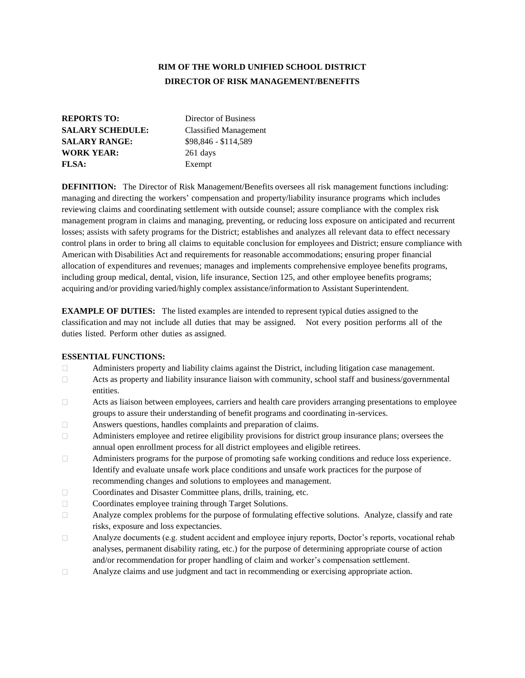# **RIM OF THE WORLD UNIFIED SCHOOL DISTRICT DIRECTOR OF RISK MANAGEMENT/BENEFITS**

| <b>REPORTS TO:</b>      | Director of Business         |
|-------------------------|------------------------------|
| <b>SALARY SCHEDULE:</b> | <b>Classified Management</b> |
| <b>SALARY RANGE:</b>    | \$98,846 - \$114,589         |
| <b>WORK YEAR:</b>       | 261 days                     |
| <b>FLSA:</b>            | Exempt                       |

**DEFINITION:** The Director of Risk Management/Benefits oversees all risk management functions including: managing and directing the workers' compensation and property/liability insurance programs which includes reviewing claims and coordinating settlement with outside counsel; assure compliance with the complex risk management program in claims and managing, preventing, or reducing loss exposure on anticipated and recurrent losses; assists with safety programs for the District; establishes and analyzes all relevant data to effect necessary control plans in order to bring all claims to equitable conclusion for employees and District; ensure compliance with American with Disabilities Act and requirements for reasonable accommodations; ensuring proper financial allocation of expenditures and revenues; manages and implements comprehensive employee benefits programs, including group medical, dental, vision, life insurance, Section 125, and other employee benefits programs; acquiring and/or providing varied/highly complex assistance/information to Assistant Superintendent.

**EXAMPLE OF DUTIES:** The listed examples are intended to represent typical duties assigned to the classification and may not include all duties that may be assigned. Not every position performs all of the duties listed. Perform other duties as assigned.

### **ESSENTIAL FUNCTIONS:**

- $\Box$ Administers property and liability claims against the District, including litigation case management.
- $\Box$ Acts as property and liability insurance liaison with community, school staff and business/governmental entities.
- $\Box$ Acts as liaison between employees, carriers and health care providers arranging presentations to employee groups to assure their understanding of benefit programs and coordinating in-services.
- $\Box$ Answers questions, handles complaints and preparation of claims.
- Administers employee and retiree eligibility provisions for district group insurance plans; oversees the  $\Box$ annual open enrollment process for all district employees and eligible retirees.
- Administers programs for the purpose of promoting safe working conditions and reduce loss experience.  $\Box$ Identify and evaluate unsafe work place conditions and unsafe work practices for the purpose of recommending changes and solutions to employees and management.
- $\Box$ Coordinates and Disaster Committee plans, drills, training, etc.
- $\Box$ Coordinates employee training through Target Solutions.
- Analyze complex problems for the purpose of formulating effective solutions. Analyze, classify and rate  $\Box$ risks, exposure and loss expectancies.
- Analyze documents (e.g. student accident and employee injury reports, Doctor's reports, vocational rehab  $\Box$ analyses, permanent disability rating, etc.) for the purpose of determining appropriate course of action and/or recommendation for proper handling of claim and worker's compensation settlement.
- $\Box$ Analyze claims and use judgment and tact in recommending or exercising appropriate action.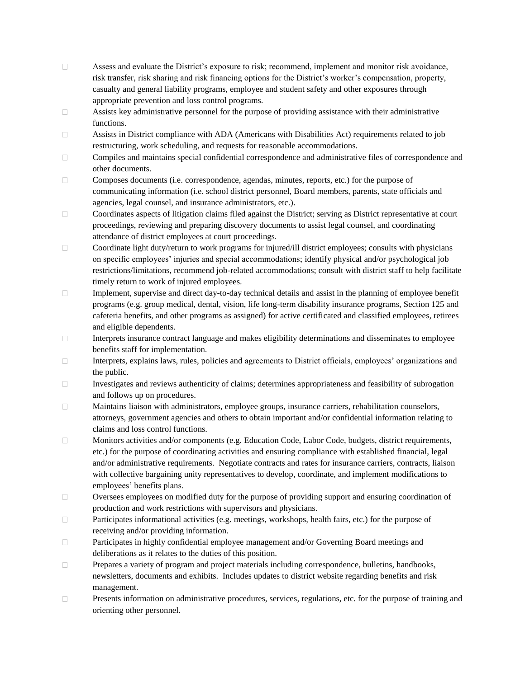- $\Box$ Assess and evaluate the District's exposure to risk; recommend, implement and monitor risk avoidance, risk transfer, risk sharing and risk financing options for the District's worker's compensation, property, casualty and general liability programs, employee and student safety and other exposures through appropriate prevention and loss control programs.
- $\Box$ Assists key administrative personnel for the purpose of providing assistance with their administrative functions.
- $\Box$ Assists in District compliance with ADA (Americans with Disabilities Act) requirements related to job restructuring, work scheduling, and requests for reasonable accommodations.
- $\Box$ Compiles and maintains special confidential correspondence and administrative files of correspondence and other documents.
- $\Box$ Composes documents (i.e. correspondence, agendas, minutes, reports, etc.) for the purpose of communicating information (i.e. school district personnel, Board members, parents, state officials and agencies, legal counsel, and insurance administrators, etc.).
- Coordinates aspects of litigation claims filed against the District; serving as District representative at court  $\Box$ proceedings, reviewing and preparing discovery documents to assist legal counsel, and coordinating attendance of district employees at court proceedings.
- $\Box$ Coordinate light duty/return to work programs for injured/ill district employees; consults with physicians on specific employees' injuries and special accommodations; identify physical and/or psychological job restrictions/limitations, recommend job-related accommodations; consult with district staff to help facilitate timely return to work of injured employees.
- $\Box$ Implement, supervise and direct day-to-day technical details and assist in the planning of employee benefit programs (e.g. group medical, dental, vision, life long-term disability insurance programs, Section 125 and cafeteria benefits, and other programs as assigned) for active certificated and classified employees, retirees and eligible dependents.
- $\Box$ Interprets insurance contract language and makes eligibility determinations and disseminates to employee benefits staff for implementation.
- $\Box$ Interprets, explains laws, rules, policies and agreements to District officials, employees' organizations and the public.
- $\Box$ Investigates and reviews authenticity of claims; determines appropriateness and feasibility of subrogation and follows up on procedures.
- $\Box$ Maintains liaison with administrators, employee groups, insurance carriers, rehabilitation counselors, attorneys, government agencies and others to obtain important and/or confidential information relating to claims and loss control functions.
- Monitors activities and/or components (e.g. Education Code, Labor Code, budgets, district requirements,  $\Box$ etc.) for the purpose of coordinating activities and ensuring compliance with established financial, legal and/or administrative requirements. Negotiate contracts and rates for insurance carriers, contracts, liaison with collective bargaining unity representatives to develop, coordinate, and implement modifications to employees' benefits plans.
- $\Box$ Oversees employees on modified duty for the purpose of providing support and ensuring coordination of production and work restrictions with supervisors and physicians.
- $\Box$ Participates informational activities (e.g. meetings, workshops, health fairs, etc.) for the purpose of receiving and/or providing information.
- $\Box$ Participates in highly confidential employee management and/or Governing Board meetings and deliberations as it relates to the duties of this position.
- Prepares a variety of program and project materials including correspondence, bulletins, handbooks,  $\Box$ newsletters, documents and exhibits. Includes updates to district website regarding benefits and risk management.
- $\Box$ Presents information on administrative procedures, services, regulations, etc. for the purpose of training and orienting other personnel.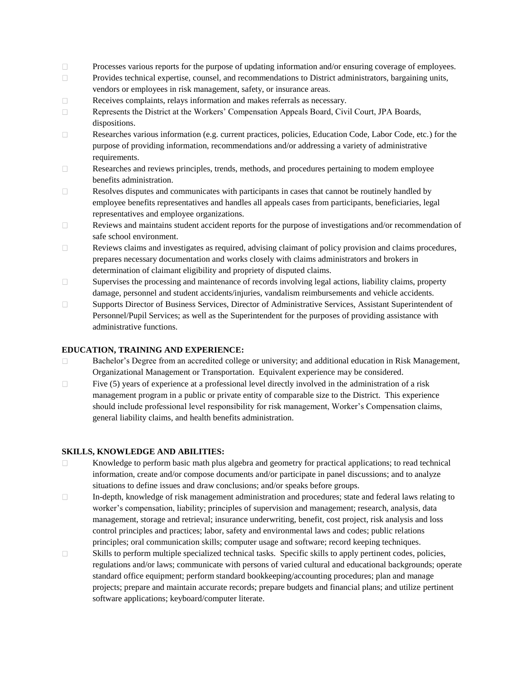- $\Box$ Processes various reports for the purpose of updating information and/or ensuring coverage of employees.
- $\Box$ Provides technical expertise, counsel, and recommendations to District administrators, bargaining units, vendors or employees in risk management, safety, or insurance areas.
- Receives complaints, relays information and makes referrals as necessary.  $\Box$
- $\Box$ Represents the District at the Workers' Compensation Appeals Board, Civil Court, JPA Boards, dispositions.
- $\Box$ Researches various information (e.g. current practices, policies, Education Code, Labor Code, etc.) for the purpose of providing information, recommendations and/or addressing a variety of administrative requirements.
- $\Box$ Researches and reviews principles, trends, methods, and procedures pertaining to modem employee benefits administration.
- $\Box$ Resolves disputes and communicates with participants in cases that cannot be routinely handled by employee benefits representatives and handles all appeals cases from participants, beneficiaries, legal representatives and employee organizations.
- $\Box$ Reviews and maintains student accident reports for the purpose of investigations and/or recommendation of safe school environment.
- $\Box$ Reviews claims and investigates as required, advising claimant of policy provision and claims procedures, prepares necessary documentation and works closely with claims administrators and brokers in determination of claimant eligibility and propriety of disputed claims.
- $\Box$ Supervises the processing and maintenance of records involving legal actions, liability claims, property damage, personnel and student accidents/injuries, vandalism reimbursements and vehicle accidents.
- $\Box$ Supports Director of Business Services, Director of Administrative Services, Assistant Superintendent of Personnel/Pupil Services; as well as the Superintendent for the purposes of providing assistance with administrative functions.

## **EDUCATION, TRAINING AND EXPERIENCE:**

- $\Box$ Bachelor's Degree from an accredited college or university; and additional education in Risk Management, Organizational Management or Transportation. Equivalent experience may be considered.
- $\Box$ Five (5) years of experience at a professional level directly involved in the administration of a risk management program in a public or private entity of comparable size to the District. This experience should include professional level responsibility for risk management, Worker's Compensation claims, general liability claims, and health benefits administration.

### **SKILLS, KNOWLEDGE AND ABILITIES:**

- Knowledge to perform basic math plus algebra and geometry for practical applications; to read technical  $\Box$ information, create and/or compose documents and/or participate in panel discussions; and to analyze situations to define issues and draw conclusions; and/or speaks before groups.
- $\Box$ In-depth, knowledge of risk management administration and procedures; state and federal laws relating to worker's compensation, liability; principles of supervision and management; research, analysis, data management, storage and retrieval; insurance underwriting, benefit, cost project, risk analysis and loss control principles and practices; labor, safety and environmental laws and codes; public relations principles; oral communication skills; computer usage and software; record keeping techniques.
- $\Box$ Skills to perform multiple specialized technical tasks. Specific skills to apply pertinent codes, policies, regulations and/or laws; communicate with persons of varied cultural and educational backgrounds; operate standard office equipment; perform standard bookkeeping/accounting procedures; plan and manage projects; prepare and maintain accurate records; prepare budgets and financial plans; and utilize pertinent software applications; keyboard/computer literate.